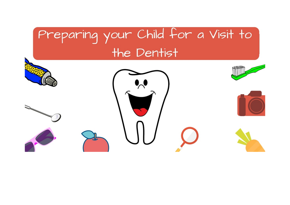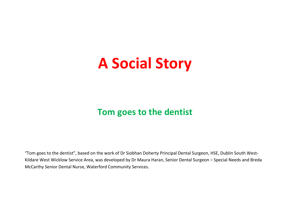# **A Social Story**

# **Tom goes to the dentist**

"Tom goes to the dentist", based on the work of Dr Siobhan Doherty Principal Dental Surgeon, HSE, Dublin South West-Kildare West Wicklow Service Area, was developed by Dr Maura Haran, Senior Dental Surgeon – Special Needs and Breda McCarthy Senior Dental Nurse, Waterford Community Services.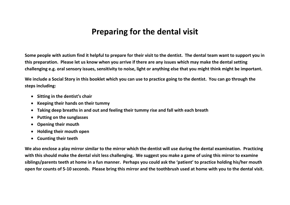# **Preparing for the dental visit**

**Some people with autism find it helpful to prepare for their visit to the dentist. The dental team want to support you in this preparation. Please let us know when you arrive if there are any issues which may make the dental setting challenging e.g. oral sensory issues, sensitivity to noise, light or anything else that you might think might be important.**

**We include a Social Story in this booklet which you can use to practice going to the dentist. You can go through the steps including:**

- **Sitting in the dentist's chair**
- **Keeping their hands on their tummy**
- **Taking deep breaths in and out and feeling their tummy rise and fall with each breath**
- **Putting on the sunglasses**
- **Opening their mouth**
- **Holding their mouth open**
- **Counting their teeth**

**We also enclose a play mirror similar to the mirror which the dentist will use during the dental examination. Practicing with this should make the dental visit less challenging. We suggest you make a game of using this mirror to examine siblings/parents teeth at home in a fun manner. Perhaps you could ask the 'patient' to practice holding his/her mouth open for counts of 5-10 seconds. Please bring this mirror and the toothbrush used at home with you to the dental visit.**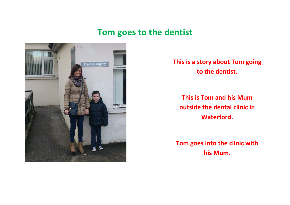

**This is a story about Tom going to the dentist.**

**This is Tom and his Mum outside the dental clinic in Waterford.**

**Tom goes into the clinic with his Mum.**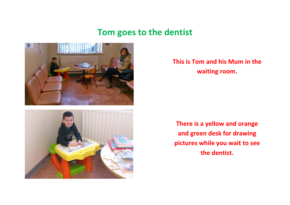



#### **This is Tom and his Mum in the waiting room.**

**There is a yellow and orange and green desk for drawing pictures while you wait to see the dentist.**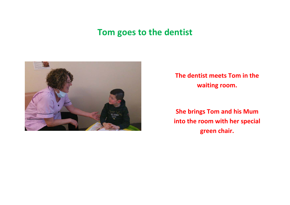

**The dentist meets Tom in the waiting room.**

**She brings Tom and his Mum into the room with her special green chair.**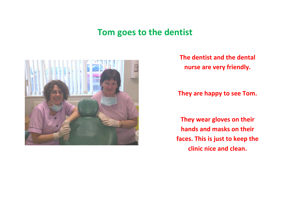

**The dentist and the dental nurse are very friendly.**

**They are happy to see Tom.**

**They wear gloves on their hands and masks on their faces. This is just to keep the clinic nice and clean.**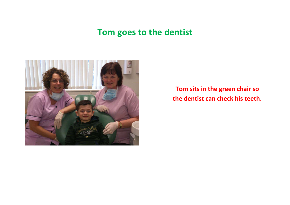

**Tom sits in the green chair so the dentist can check his teeth.**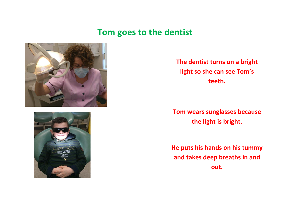



**The dentist turns on a bright light so she can see Tom's teeth.**

**Tom wears sunglasses because the light is bright.**

**He puts his hands on his tummy and takes deep breaths in and out.**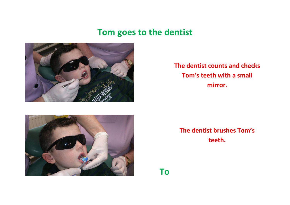

**The dentist counts and checks Tom's teeth with a small mirror.**



**The dentist brushes Tom's teeth.**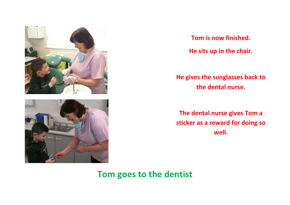

**Tom is now finished. He sits up in the chair.**

**He gives the sunglasses back to the dental nurse.**

**The dental nurse gives Tom a sticker as a reward for doing so well.**

**Tom goes to the dentist**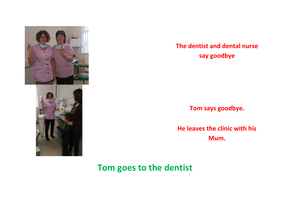

#### **The dentist and dental nurse say goodbye**

**Tom says goodbye.**

**He leaves the clinic with his Mum.**

# **Tom goes to the dentist**